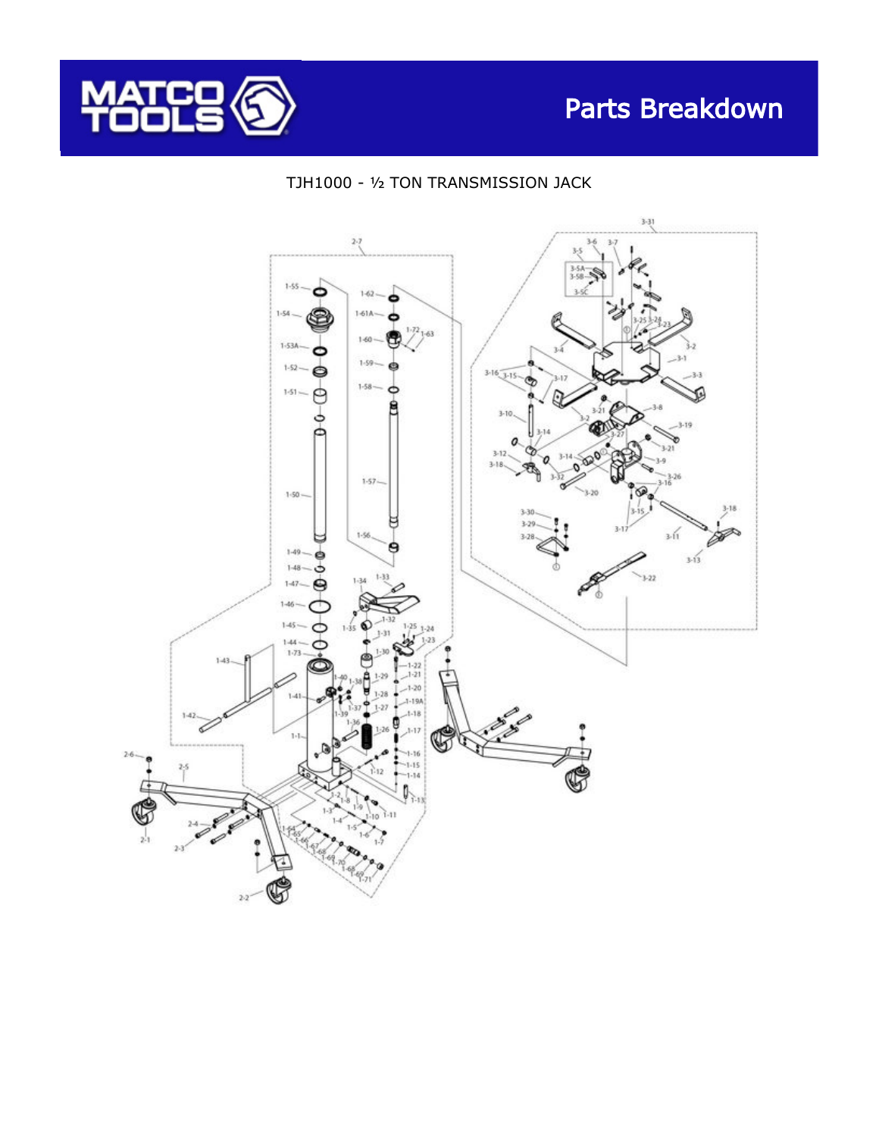





## TJH1000 - ½ TON TRANSMISSION JACK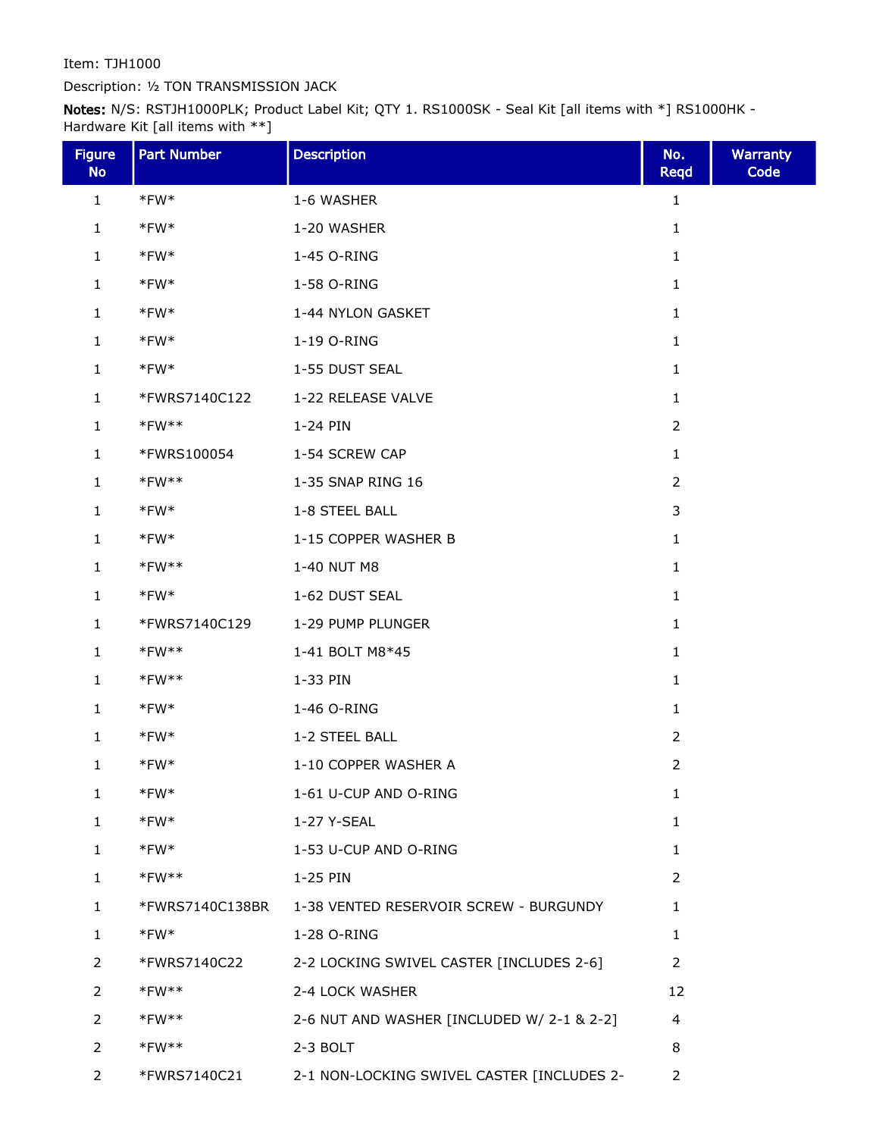Item: TJH1000

## Description: ½ TON TRANSMISSION JACK

Notes: N/S: RSTJH1000PLK; Product Label Kit; QTY 1. RS1000SK - Seal Kit [all items with \*] RS1000HK - Hardware Kit [all items with \*\*]

| <b>Figure</b><br><b>No</b> | <b>Part Number</b> | <b>Description</b>                         | No.<br><b>Reqd</b> | <b>Warranty</b><br>Code |
|----------------------------|--------------------|--------------------------------------------|--------------------|-------------------------|
| $\mathbf{1}$               | $*$ FW $*$         | 1-6 WASHER                                 | 1                  |                         |
| $\mathbf{1}$               | $*$ FW $*$         | 1-20 WASHER                                | $\mathbf{1}$       |                         |
| $\mathbf{1}$               | $*$ FW $*$         | 1-45 O-RING                                | 1                  |                         |
| 1                          | $*$ FW $*$         | 1-58 O-RING                                | 1                  |                         |
| $\mathbf{1}$               | $*$ FW $*$         | 1-44 NYLON GASKET                          | $\mathbf{1}$       |                         |
| $\mathbf{1}$               | $*$ FW $*$         | 1-19 O-RING                                | $\mathbf{1}$       |                         |
| 1                          | $*$ FW $*$         | 1-55 DUST SEAL                             | 1                  |                         |
| 1                          | *FWRS7140C122      | 1-22 RELEASE VALVE                         | 1                  |                         |
| $\mathbf{1}$               | $*$ FW $**$        | 1-24 PIN                                   | $\overline{2}$     |                         |
| 1                          | *FWRS100054        | 1-54 SCREW CAP                             | 1                  |                         |
| $\mathbf{1}$               | $*FW**$            | 1-35 SNAP RING 16                          | $\overline{2}$     |                         |
| $\mathbf{1}$               | $*$ FW $*$         | 1-8 STEEL BALL                             | 3                  |                         |
| $\mathbf{1}$               | $*$ FW $*$         | 1-15 COPPER WASHER B                       | $\mathbf{1}$       |                         |
| $\mathbf{1}$               | $*FW**$            | 1-40 NUT M8                                | 1                  |                         |
| $\mathbf{1}$               | $*$ FW $*$         | 1-62 DUST SEAL                             | 1                  |                         |
| $\mathbf{1}$               | *FWRS7140C129      | 1-29 PUMP PLUNGER                          | $\mathbf{1}$       |                         |
| $\mathbf{1}$               | $*$ FW $**$        | 1-41 BOLT M8*45                            | $\mathbf{1}$       |                         |
| 1                          | $*FW**$            | 1-33 PIN                                   | 1                  |                         |
| 1                          | $*$ FW $*$         | 1-46 O-RING                                | 1                  |                         |
| $\mathbf{1}$               | $*$ FW $*$         | 1-2 STEEL BALL                             | $\overline{2}$     |                         |
| 1                          | $*$ FW $*$         | 1-10 COPPER WASHER A                       | $\overline{2}$     |                         |
| 1                          | *FW*               | 1-61 U-CUP AND O-RING                      | 1                  |                         |
| 1                          | $*$ FW $*$         | 1-27 Y-SEAL                                | $\mathbf{1}$       |                         |
| 1                          | $*$ FW $*$         | 1-53 U-CUP AND O-RING                      | $\mathbf{1}$       |                         |
| $\mathbf{1}$               | $*$ FW $**$        | 1-25 PIN                                   | $\overline{2}$     |                         |
| 1                          | *FWRS7140C138BR    | 1-38 VENTED RESERVOIR SCREW - BURGUNDY     | 1                  |                         |
| $\mathbf{1}$               | $*$ FW $*$         | 1-28 O-RING                                | $\mathbf{1}$       |                         |
| 2                          | *FWRS7140C22       | 2-2 LOCKING SWIVEL CASTER [INCLUDES 2-6]   | 2                  |                         |
| $\overline{2}$             | $*FW**$            | 2-4 LOCK WASHER                            | 12                 |                         |
| 2                          | $*$ FW $**$        | 2-6 NUT AND WASHER [INCLUDED W/ 2-1 & 2-2] | 4                  |                         |
| 2                          | $*$ FW $**$        | 2-3 BOLT                                   | 8                  |                         |
| 2                          | *FWRS7140C21       | 2-1 NON-LOCKING SWIVEL CASTER [INCLUDES 2- | $\overline{2}$     |                         |